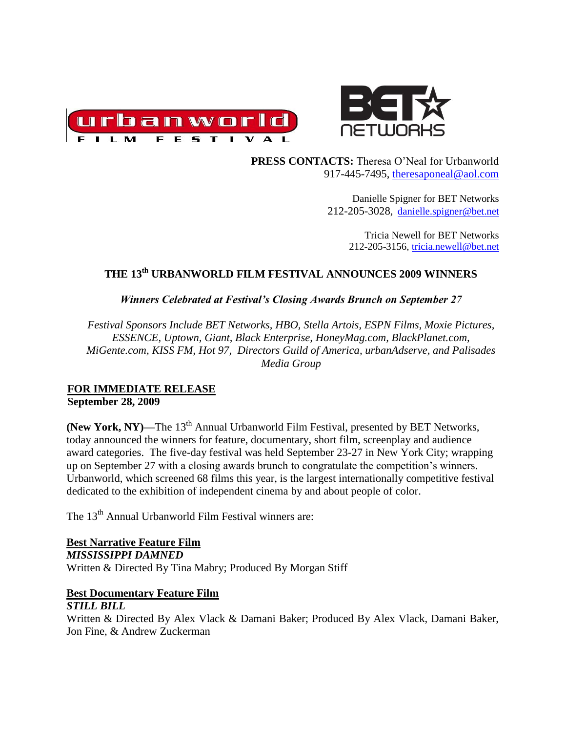



 **PRESS CONTACTS:** Theresa O'Neal for Urbanworld 917-445-7495, [theresaponeal@aol.com](mailto:theresaponeal@aol.com)

> Danielle Spigner for BET Networks 212-205-3028, [danielle.spigner@bet.net](mailto:danielle.spigner@bet.net)

> > Tricia Newell for BET Networks 212-205-3156, [tricia.newell@bet.net](mailto:tricia.newell@bet.net)

# **THE 13th URBANWORLD FILM FESTIVAL ANNOUNCES 2009 WINNERS**

*Winners Celebrated at Festival's Closing Awards Brunch on September 27*

*Festival Sponsors Include BET Networks, HBO, Stella Artois, ESPN Films, Moxie Pictures, ESSENCE, Uptown, Giant, Black Enterprise, HoneyMag.com, BlackPlanet.com, MiGente.com, KISS FM, Hot 97, Directors Guild of America, urbanAdserve, and Palisades Media Group* 

#### **FOR IMMEDIATE RELEASE September 28, 2009**

(New York, NY)—The 13<sup>th</sup> Annual Urbanworld Film Festival, presented by BET Networks, today announced the winners for feature, documentary, short film, screenplay and audience award categories. The five-day festival was held September 23-27 in New York City; wrapping up on September 27 with a closing awards brunch to congratulate the competition's winners. Urbanworld, which screened 68 films this year, is the largest internationally competitive festival dedicated to the exhibition of independent cinema by and about people of color.

The 13<sup>th</sup> Annual Urbanworld Film Festival winners are:

**Best Narrative Feature Film** *MISSISSIPPI DAMNED* Written & Directed By Tina Mabry; Produced By Morgan Stiff

## **Best Documentary Feature Film**

#### *STILL BILL*

Written & Directed By Alex Vlack & Damani Baker; Produced By Alex Vlack, Damani Baker, Jon Fine, & Andrew Zuckerman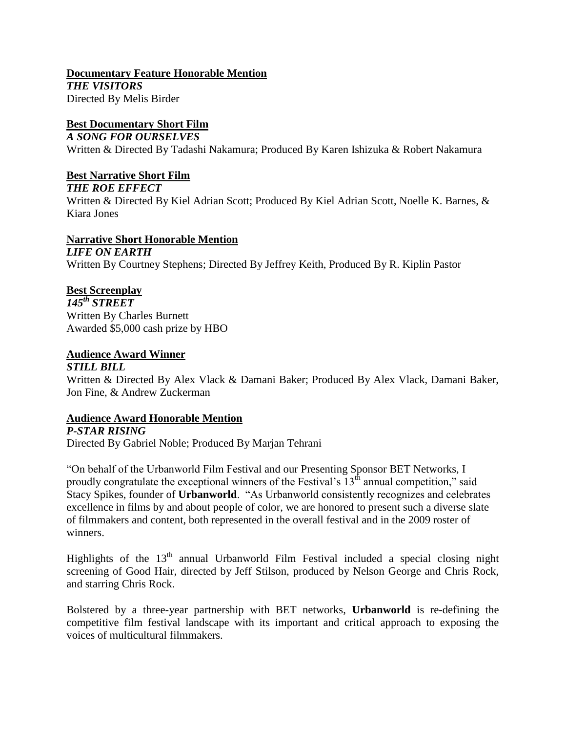**Documentary Feature Honorable Mention** *THE VISITORS* Directed By Melis Birder

## **Best Documentary Short Film**

#### *A SONG FOR OURSELVES*

Written & Directed By Tadashi Nakamura; Produced By Karen Ishizuka & Robert Nakamura

#### **Best Narrative Short Film**

*THE ROE EFFECT*

Written & Directed By Kiel Adrian Scott; Produced By Kiel Adrian Scott, Noelle K. Barnes, & Kiara Jones

## **Narrative Short Honorable Mention**

*LIFE ON EARTH* Written By Courtney Stephens; Directed By Jeffrey Keith, Produced By R. Kiplin Pastor

#### **Best Screenplay**

*145th STREET* Written By Charles Burnett Awarded \$5,000 cash prize by HBO

#### **Audience Award Winner**

#### *STILL BILL*

Written & Directed By Alex Vlack & Damani Baker; Produced By Alex Vlack, Damani Baker, Jon Fine, & Andrew Zuckerman

#### **Audience Award Honorable Mention**

#### *P-STAR RISING*

Directed By Gabriel Noble; Produced By Marjan Tehrani

"On behalf of the Urbanworld Film Festival and our Presenting Sponsor BET Networks, I proudly congratulate the exceptional winners of the Festival's  $13<sup>th</sup>$  annual competition," said Stacy Spikes, founder of **Urbanworld**. "As Urbanworld consistently recognizes and celebrates excellence in films by and about people of color, we are honored to present such a diverse slate of filmmakers and content, both represented in the overall festival and in the 2009 roster of winners.

Highlights of the  $13<sup>th</sup>$  annual Urbanworld Film Festival included a special closing night screening of Good Hair, directed by Jeff Stilson, produced by Nelson George and Chris Rock, and starring Chris Rock.

Bolstered by a three-year partnership with BET networks, **Urbanworld** is re-defining the competitive film festival landscape with its important and critical approach to exposing the voices of multicultural filmmakers.